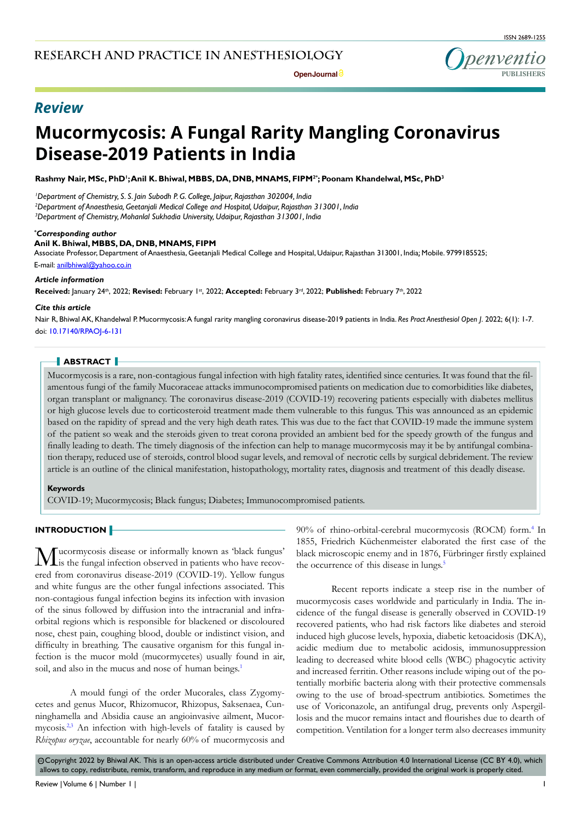ISSN 2689-1255



## *Review*

# **Mucormycosis: A Fungal Rarity Mangling Coronavirus Disease-2019 Patients in India**

Rashmy Nair, MSc, PhD';Anil K. Bhiwal, MBBS, DA, DNB, MNAMS, FIPM<sup>2</sup>°; Poonam Khandelwal, MSc, PhD<sup>3</sup>

*1 Department of Chemistry, S. S. Jain Subodh P. G. College, Jaipur, Rajasthan 302004, India 2 Department of Anaesthesia, Geetanjali Medical College and Hospital, Udaipur, Rajasthan 313001, India 3 Department of Chemistry, Mohanlal Sukhadia University, Udaipur, Rajasthan 313001, India*

#### *\* Corresponding author*

#### **Anil K. Bhiwal, MBBS, DA, DNB, MNAMS, FIPM**

Associate Professor, Department of Anaesthesia, Geetanjali Medical College and Hospital, Udaipur, Rajasthan 313001, India; Mobile. 9799185525; E-mail: anilbhiwal@yahoo.co.in

#### *Article information*

Received: January 24th, 2022; Revised: February 1st, 2022; Accepted: February 3rd, 2022; Published: February 7th, 2022

#### *Cite this article*

Nair R, Bhiwal AK, Khandelwal P. Mucormycosis: A fungal rarity mangling coronavirus disease-2019 patients in India. *Res Pract Anesthesiol Open J*. 2022; 6(1): 1-7. doi: [10.17140/RPAOJ-6-131](http://dx.doi.org/10.17140/RPAOJ-6-131)

#### **ABSTRACT**

Mucormycosis is a rare, non-contagious fungal infection with high fatality rates, identified since centuries. It was found that the filamentous fungi of the family Mucoraceae attacks immunocompromised patients on medication due to comorbidities like diabetes, organ transplant or malignancy. The coronavirus disease-2019 (COVID-19) recovering patients especially with diabetes mellitus or high glucose levels due to corticosteroid treatment made them vulnerable to this fungus. This was announced as an epidemic based on the rapidity of spread and the very high death rates. This was due to the fact that COVID-19 made the immune system of the patient so weak and the steroids given to treat corona provided an ambient bed for the speedy growth of the fungus and finally leading to death. The timely diagnosis of the infection can help to manage mucormycosis may it be by antifungal combination therapy, reduced use of steroids, control blood sugar levels, and removal of necrotic cells by surgical debridement. The review article is an outline of the clinical manifestation, histopathology, mortality rates, diagnosis and treatment of this deadly disease.

#### **Keywords**

COVID-19; Mucormycosis; Black fungus; Diabetes; Immunocompromised patients.

## **INTRODUCTION**

Mucormycosis disease or informally known as 'black fungus' is the fungal infection observed in patients who have recovered from coronavirus disease-2019 (COVID-19). Yellow fungus and white fungus are the other fungal infections associated. This non-contagious fungal infection begins its infection with invasion of the sinus followed by diffusion into the intracranial and infraorbital regions which is responsible for blackened or discoloured nose, chest pain, coughing blood, double or indistinct vision, and difficulty in breathing. The causative organism for this fungal infection is the mucor mold (mucormycetes) usually found in air, soil, and also in the mucus and nose of human beings.<sup>[1](#page-4-0)</sup>

A mould fungi of the order Mucorales, class Zygomycetes and genus Mucor, Rhizomucor, Rhizopus, Saksenaea, Cunninghamella and Absidia cause an angioinvasive ailment, Mucormycosis[.2,3](#page-4-1) An infection with high-levels of fatality is caused by *Rhizopus oryzae*, accountable for nearly 60% of mucormycosis and

90% of rhino-orbital-cerebral mucormycosis (ROCM) form[.4](#page-5-0) In 1855, Friedrich Küchenmeister elaborated the first case of the black microscopic enemy and in 1876, Fürbringer firstly explained the occurrence of this disease in lungs.<sup>[5](#page-5-1)</sup>

Recent reports indicate a steep rise in the number of mucormycosis cases worldwide and particularly in India. The incidence of the fungal disease is generally observed in COVID-19 recovered patients, who had risk factors like diabetes and steroid induced high glucose levels, hypoxia, diabetic ketoacidosis (DKA), acidic medium due to metabolic acidosis, immunosuppression leading to decreased white blood cells (WBC) phagocytic activity and increased ferritin. Other reasons include wiping out of the potentially morbific bacteria along with their protective commensals owing to the use of broad-spectrum antibiotics. Sometimes the use of Voriconazole, an antifungal drug, prevents only Aspergillosis and the mucor remains intact and flourishes due to dearth of competition. Ventilation for a longer term also decreases immunity

@Copyright 2022 by Bhiwal AK. This is an open-access article distributed under Creative Commons Attribution 4.0 International License ([CC BY 4.0](https://creativecommons.org/licenses/by/4.0/)), which allows to copy, redistribute, remix, transform, and reproduce in any medium or format, even commercially, provided the original work is properly cited.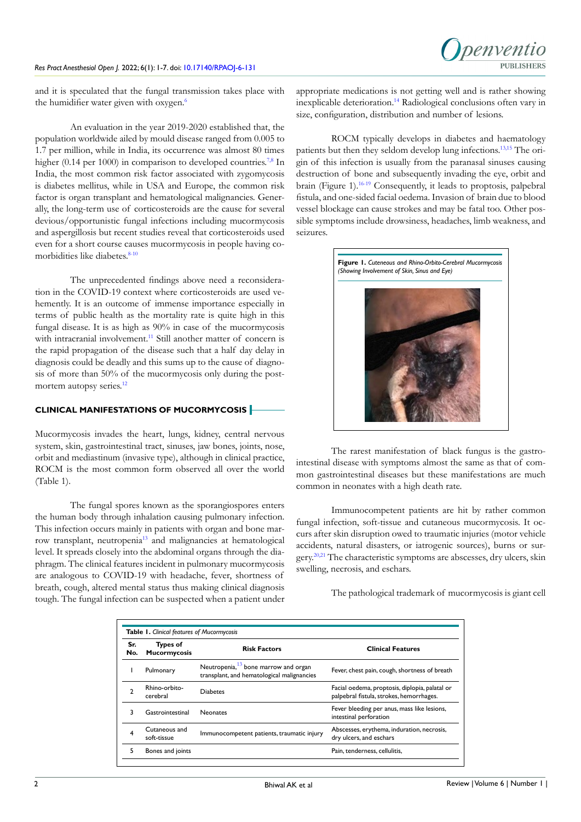and it is speculated that the fungal transmission takes place with the humidifier water given with oxygen.<sup>[6](#page-5-2)</sup>

An evaluation in the year 2019-2020 established that, the population worldwide ailed by mould disease ranged from 0.005 to 1.7 per million, while in India, its occurrence was almost 80 times higher (0.14 per 1000) in comparison to developed countries.<sup>[7,8](#page-5-3)</sup> In India, the most common risk factor associated with zygomycosis is diabetes mellitus, while in USA and Europe, the common risk factor is organ transplant and hematological malignancies. Generally, the long-term use of corticosteroids are the cause for several devious/opportunistic fungal infections including mucormycosis and aspergillosis but recent studies reveal that corticosteroids used even for a short course causes mucormycosis in people having comorbidities like diabetes.<sup>8-10</sup>

The unprecedented findings above need a reconsideration in the COVID-19 context where corticosteroids are used vehemently. It is an outcome of immense importance especially in terms of public health as the mortality rate is quite high in this fungal disease. It is as high as 90% in case of the mucormycosis with intracranial involvement.<sup>[11](#page-5-5)</sup> Still another matter of concern is the rapid propagation of the disease such that a half day delay in diagnosis could be deadly and this sums up to the cause of diagnosis of more than 50% of the mucormycosis only during the postmortem autopsy series.<sup>12</sup>

## **CLINICAL MANIFESTATIONS OF MUCORMYCOSIS**

Mucormycosis invades the heart, lungs, kidney, central nervous system, skin, gastrointestinal tract, sinuses, jaw bones, joints, nose, orbit and mediastinum (invasive type), although in clinical practice, ROCM is the most common form observed all over the world (Table 1).

The fungal spores known as the sporangiospores enters the human body through inhalation causing pulmonary infection. This infection occurs mainly in patients with organ and bone marrow transplant, neutropenia[13](#page-5-7) and malignancies at hematological level. It spreads closely into the abdominal organs through the diaphragm. The clinical features incident in pulmonary mucormycosis are analogous to COVID-19 with headache, fever, shortness of breath, cough, altered mental status thus making clinical diagnosis tough. The fungal infection can be suspected when a patient under

appropriate medications is not getting well and is rather showing inexplicable deterioration.<sup>[14](#page-5-8)</sup> Radiological conclusions often vary in size, configuration, distribution and number of lesions.

ROCM typically develops in diabetes and haematology patients but then they seldom develop lung infections.[13,](#page-5-7)[15](#page-5-9) The origin of this infection is usually from the paranasal sinuses causing destruction of bone and subsequently invading the eye, orbit and brain (Figure 1).<sup>16-19</sup> Consequently, it leads to proptosis, palpebral fistula, and one-sided facial oedema. Invasion of brain due to blood vessel blockage can cause strokes and may be fatal too. Other possible symptoms include drowsiness, headaches, limb weakness, and seizures.



The rarest manifestation of black fungus is the gastrointestinal disease with symptoms almost the same as that of common gastrointestinal diseases but these manifestations are much common in neonates with a high death rate.

Immunocompetent patients are hit by rather common fungal infection, soft-tissue and cutaneous mucormycosis. It occurs after skin disruption owed to traumatic injuries (motor vehicle accidents, natural disasters, or iatrogenic sources), burns or surgery.<sup>20,21</sup> The characteristic symptoms are abscesses, dry ulcers, skin swelling, necrosis, and eschars.

The pathological trademark of mucormycosis is giant cell

| Sr.<br>No. | <b>Types of</b><br><b>Mucormycosis</b> | <b>Risk Factors</b>                                                                            | <b>Clinical Features</b>                                                                   |
|------------|----------------------------------------|------------------------------------------------------------------------------------------------|--------------------------------------------------------------------------------------------|
|            | Pulmonary                              | Neutropenia, <sup>13</sup> bone marrow and organ<br>transplant, and hematological malignancies | Fever, chest pain, cough, shortness of breath                                              |
|            | Rhino-orbito-<br>cerebral              | <b>Diabetes</b>                                                                                | Facial oedema, proptosis, diplopia, palatal or<br>palpebral fistula, strokes, hemorrhages. |
|            | Gastrointestinal                       | <b>Neonates</b>                                                                                | Fever bleeding per anus, mass like lesions,<br>intestinal perforation                      |
|            | Cutaneous and<br>soft-tissue           | Immunocompetent patients, traumatic injury                                                     | Abscesses, erythema, induration, necrosis,<br>dry ulcers, and eschars                      |
|            | Bones and joints                       |                                                                                                | Pain, tenderness, cellulitis,                                                              |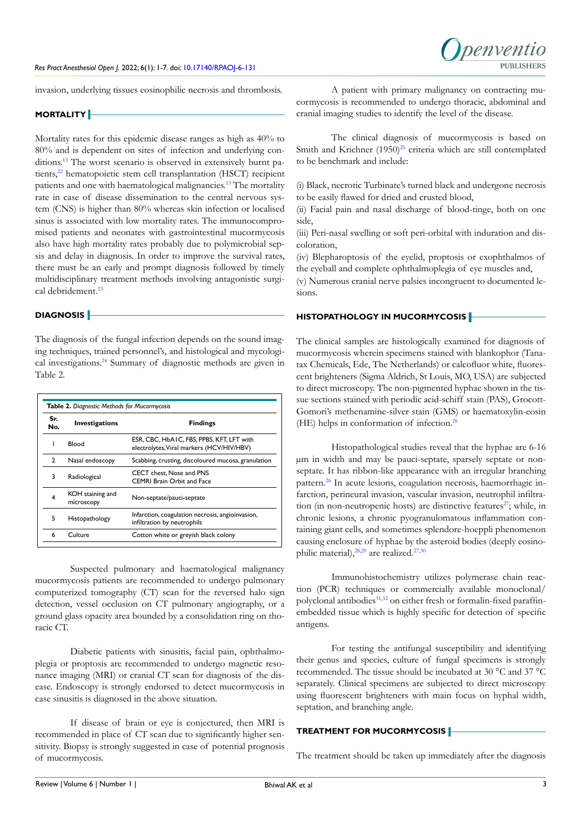invasion, underlying tissues eosinophilic necrosis and thrombosis.

#### **MORTALITY**

Mortality rates for this epidemic disease ranges as high as 40% to 80% and is dependent on sites of infection and underlying conditions.<sup>13</sup> The worst scenario is observed in extensively burnt pa-tients,<sup>[22](#page-5-12)</sup> hematopoietic stem cell transplantation (HSCT) recipient patients and one with haematological malignancies[.13](#page-5-7) The mortality rate in case of disease dissemination to the central nervous system (CNS) is higher than 80% whereas skin infection or localised sinus is associated with low mortality rates. The immunocompromised patients and neonates with gastrointestinal mucormycosis also have high mortality rates probably due to polymicrobial sepsis and delay in diagnosis. In order to improve the survival rates, there must be an early and prompt diagnosis followed by timely multidisciplinary treatment methods involving antagonistic surgical debridement.<sup>23</sup>

## **DIAGNOSIS**

The diagnosis of the fungal infection depends on the sound imaging techniques, trained personnel's, and histological and mycological investigations[.24](#page-5-14) Summary of diagnostic methods are given in Table 2.

| Table 2. Diagnostic Methods for Mucormycosis |                                |                                                                                        |  |  |
|----------------------------------------------|--------------------------------|----------------------------------------------------------------------------------------|--|--|
| Sr.<br>No.                                   | <b>Investigations</b>          | <b>Findings</b>                                                                        |  |  |
| ı                                            | Blood                          | ESR, CBC, HbA1C, FBS, PPBS, KFT, LFT with<br>electrolytes, Viral markers (HCV/HIV/HBV) |  |  |
| $\mathcal{P}$                                | Nasal endoscopy                | Scabbing, crusting, discoloured mucosa, granulation                                    |  |  |
| 3                                            | Radiological                   | <b>CECT</b> chest. Nose and PNS<br><b>CEMRI Brain Orbit and Face</b>                   |  |  |
| 4                                            | KOH staining and<br>microscopy | Non-septate/pauci-septate                                                              |  |  |
| 5                                            | Histopathology                 | Infarction, coagulation necrosis, angioinvasion,<br>infiltration by neutrophils        |  |  |
| 6                                            | Culture                        | Cotton white or greyish black colony                                                   |  |  |

Suspected pulmonary and haematological malignancy mucormycosis patients are recommended to undergo pulmonary computerized tomography (CT) scan for the reversed halo sign detection, vessel occlusion on CT pulmonary angiography, or a ground glass opacity area bounded by a consolidation ring on thoracic CT.

Diabetic patients with sinusitis, facial pain, ophthalmoplegia or proptosis are recommended to undergo magnetic resonance imaging (MRI) or cranial CT scan for diagnosis of the disease. Endoscopy is strongly endorsed to detect mucormycosis in case sinusitis is diagnosed in the above situation.

If disease of brain or eye is conjectured, then MRI is recommended in place of CT scan due to significantly higher sensitivity. Biopsy is strongly suggested in case of potential prognosis of mucormycosis.

A patient with primary malignancy on contracting mucormycosis is recommended to undergo thoracic, abdominal and cranial imaging studies to identify the level of the disease.

The clinical diagnosis of mucormycosis is based on Smith and Krichner  $(1950)^{25}$  criteria which are still contemplated to be benchmark and include:

(i) Black, necrotic Turbinate's turned black and undergone necrosis to be easily flawed for dried and crusted blood,

(ii) Facial pain and nasal discharge of blood-tinge, both on one side,

(iii) Peri-nasal swelling or soft peri-orbital with induration and discoloration,

(iv) Blepharoptosis of the eyelid, proptosis or exophthalmos of the eyeball and complete ophthalmoplegia of eye muscles and,

(v) Numerous cranial nerve palsies incongruent to documented lesions.

### **HISTOPATHOLOGY IN MUCORMYCOSIS**

The clinical samples are histologically examined for diagnosis of mucormycosis wherein specimens stained with blankophor (Tanatax Chemicals, Ede, The Netherlands) or calcofluor white, fluorescent brighteners (Sigma Aldrich, St Louis, MO, USA) are subjected to direct microscopy. The non-pigmented hyphae shown in the tissue sections stained with periodic acid-schiff stain (PAS), Grocott-Gomori's methenamine-silver stain (GMS) or haematoxylin-eosin (HE) helps in conformation of infection.[26](#page-5-16)

Histopathological studies reveal that the hyphae are 6-16 µm in width and may be pauci-septate, sparsely septate or nonseptate. It has ribbon-like appearance with an irregular branching pattern.[26](#page-5-16) In acute lesions, coagulation necrosis, haemorrhagic infarction, perineural invasion, vascular invasion, neutrophil infiltration (in non-neutropenic hosts) are distinctive features<sup>27</sup>; while, in chronic lesions, a chronic pyogranulomatous inflammation containing giant cells, and sometimes splendore-hoeppli phenomenon causing enclosure of hyphae by the asteroid bodies (deeply eosinophilic material), $^{28,29}$  are realized.<sup>[27,](#page-5-17)[30](#page-6-0)</sup>

Immunohistochemistry utilizes polymerase chain reaction (PCR) techniques or commercially available monoclonal/ polyclonal antibodies<sup>31,32</sup> on either fresh or formalin-fixed paraffinembedded tissue which is highly specific for detection of specific antigens.

For testing the antifungal susceptibility and identifying their genus and species, culture of fungal specimens is strongly recommended. The tissue should be incubated at 30 °C and 37 °C separately. Clinical specimens are subjected to direct microscopy using fluorescent brighteners with main focus on hyphal width, septation, and branching angle.

## **TREATMENT FOR MUCORMYCOSIS**

The treatment should be taken up immediately after the diagnosis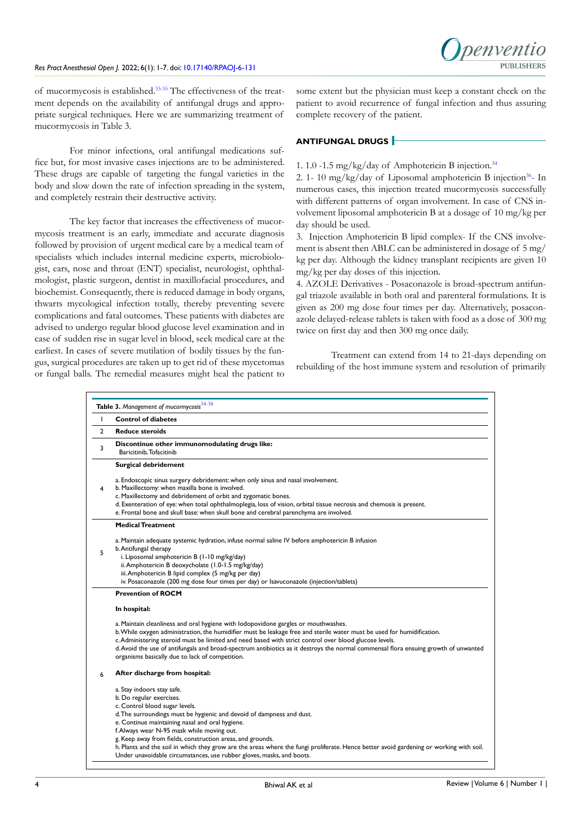

of mucormycosis is established[.33-35](#page-6-2) The effectiveness of the treatment depends on the availability of antifungal drugs and appropriate surgical techniques. Here we are summarizing treatment of mucormycosis in Table 3.

For minor infections, oral antifungal medications suffice but, for most invasive cases injections are to be administered. These drugs are capable of targeting the fungal varieties in the body and slow down the rate of infection spreading in the system, and completely restrain their destructive activity.

The key factor that increases the effectiveness of mucormycosis treatment is an early, immediate and accurate diagnosis followed by provision of urgent medical care by a medical team of specialists which includes internal medicine experts, microbiologist, ears, nose and throat (ENT) specialist, neurologist, ophthalmologist, plastic surgeon, dentist in maxillofacial procedures, and biochemist. Consequently, there is reduced damage in body organs, thwarts mycological infection totally, thereby preventing severe complications and fatal outcomes. These patients with diabetes are advised to undergo regular blood glucose level examination and in case of sudden rise in sugar level in blood, seek medical care at the earliest. In cases of severe mutilation of bodily tissues by the fungus, surgical procedures are taken up to get rid of these mycetomas or fungal balls. The remedial measures might heal the patient to

some extent but the physician must keep a constant check on the patient to avoid recurrence of fungal infection and thus assuring complete recovery of the patient.

### **ANTIFUNGAL DRUGS**

### 1. 1.0 -1.5 mg/kg/day of Amphotericin B injection[.34](#page-6-3)

2. 1- 10 mg/kg/day of Liposomal amphotericin B injection<sup>36</sup>- In numerous cases, this injection treated mucormycosis successfully with different patterns of organ involvement. In case of CNS involvement liposomal amphotericin B at a dosage of 10 mg/kg per day should be used.

3. Injection Amphotericin B lipid complex- If the CNS involvement is absent then ABLC can be administered in dosage of 5 mg/ kg per day. Although the kidney transplant recipients are given 10 mg/kg per day doses of this injection.

4. AZOLE Derivatives - Posaconazole is broad-spectrum antifungal triazole available in both oral and parenteral formulations. It is given as 200 mg dose four times per day. Alternatively, posaconazole delayed-release tablets is taken with food as a dose of 300 mg twice on first day and then 300 mg once daily.

Treatment can extend from 14 to 21-days depending on rebuilding of the host immune system and resolution of primarily

| т              | <b>Control of diabetes</b>                                                                                                                                                                                                                                                                                                                                                                                                                                                                                       |  |  |
|----------------|------------------------------------------------------------------------------------------------------------------------------------------------------------------------------------------------------------------------------------------------------------------------------------------------------------------------------------------------------------------------------------------------------------------------------------------------------------------------------------------------------------------|--|--|
| $\overline{2}$ | <b>Reduce steroids</b>                                                                                                                                                                                                                                                                                                                                                                                                                                                                                           |  |  |
| 3              | Discontinue other immunomodulating drugs like:<br>Baricitinib, Tofacitinib                                                                                                                                                                                                                                                                                                                                                                                                                                       |  |  |
|                | <b>Surgical debridement</b>                                                                                                                                                                                                                                                                                                                                                                                                                                                                                      |  |  |
| 4              | a. Endoscopic sinus surgery debridement: when only sinus and nasal involvement.<br>b. Maxillectomy: when maxilla bone is involved.<br>c. Maxillectomy and debridement of orbit and zygomatic bones.<br>d. Exenteration of eye: when total ophthalmoplegia, loss of vision, orbital tissue necrosis and chemosis is present.                                                                                                                                                                                      |  |  |
|                | e. Frontal bone and skull base: when skull bone and cerebral parenchyma are involved.                                                                                                                                                                                                                                                                                                                                                                                                                            |  |  |
|                | <b>Medical Treatment</b>                                                                                                                                                                                                                                                                                                                                                                                                                                                                                         |  |  |
| 5              | a. Maintain adequate systemic hydration, infuse normal saline IV before amphotericin B infusion<br>b. Antifungal therapy<br>i. Liposomal amphotericin B (1-10 mg/kg/day)<br>ii. Amphotericin B deoxycholate (1.0-1.5 mg/kg/day)<br>iii. Amphotericin B lipid complex (5 mg/kg per day)<br>iv. Posaconazole (200 mg dose four times per day) or Isavuconazole (injection/tablets)                                                                                                                                 |  |  |
|                | <b>Prevention of ROCM</b>                                                                                                                                                                                                                                                                                                                                                                                                                                                                                        |  |  |
|                | In hospital:                                                                                                                                                                                                                                                                                                                                                                                                                                                                                                     |  |  |
|                | a. Maintain cleanliness and oral hygiene with lodopovidone gargles or mouthwashes.<br>b. While oxygen administration, the humidifier must be leakage free and sterile water must be used for humidification.<br>c. Administering steroid must be limited and need based with strict control over blood glucose levels.<br>d. Avoid the use of antifungals and broad-spectrum antibiotics as it destroys the normal commensal flora ensuing growth of unwanted<br>organisms basically due to lack of competition. |  |  |
| 6              | After discharge from hospital:                                                                                                                                                                                                                                                                                                                                                                                                                                                                                   |  |  |
|                | a. Stay indoors stay safe.<br>b. Do regular exercises.<br>c. Control blood sugar levels.                                                                                                                                                                                                                                                                                                                                                                                                                         |  |  |
|                | d. The surroundings must be hygienic and devoid of dampness and dust.<br>e. Continue maintaining nasal and oral hygiene.<br>f. Always wear N-95 mask while moving out.                                                                                                                                                                                                                                                                                                                                           |  |  |
|                | g. Keep away from fields, construction areas, and grounds.<br>h. Plants and the soil in which they grow are the areas where the fungi proliferate. Hence better avoid gardening or working with soil.<br>Under unavoidable circumstances, use rubber gloves, masks, and boots.                                                                                                                                                                                                                                   |  |  |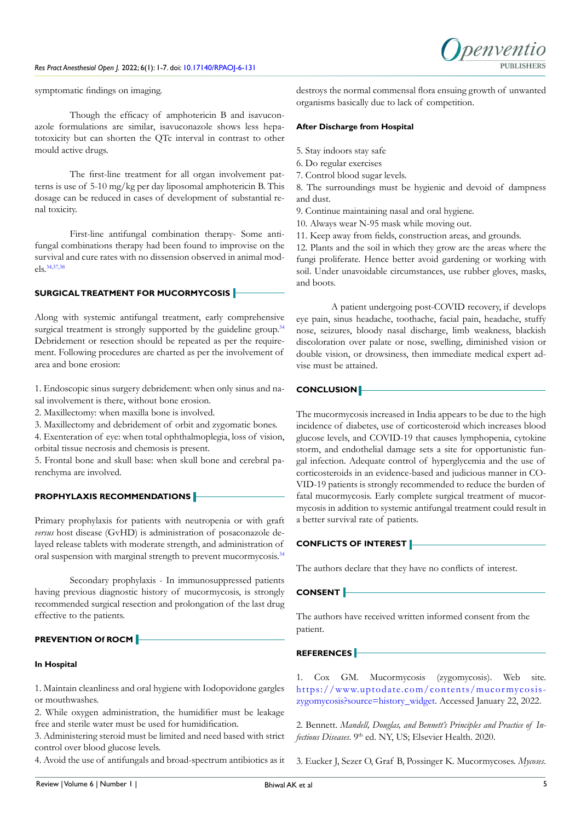

symptomatic findings on imaging.

Though the efficacy of amphotericin B and isavuconazole formulations are similar, isavuconazole shows less hepatotoxicity but can shorten the QTc interval in contrast to other mould active drugs.

The first-line treatment for all organ involvement patterns is use of 5-10 mg/kg per day liposomal amphotericin B. This dosage can be reduced in cases of development of substantial renal toxicity.

First-line antifungal combination therapy- Some antifungal combinations therapy had been found to improvise on the survival and cure rates with no dissension observed in animal models.[34,](#page-6-3)[37,38](#page-6-5)

## **SURGICAL TREATMENT FOR MUCORMYCOSIS**

Along with systemic antifungal treatment, early comprehensive surgical treatment is strongly supported by the guideline group.<sup>34</sup> Debridement or resection should be repeated as per the requirement. Following procedures are charted as per the involvement of area and bone erosion:

1. Endoscopic sinus surgery debridement: when only sinus and nasal involvement is there, without bone erosion.

2. Maxillectomy: when maxilla bone is involved.

3. Maxillectomy and debridement of orbit and zygomatic bones.

4. Exenteration of eye: when total ophthalmoplegia, loss of vision, orbital tissue necrosis and chemosis is present.

5. Frontal bone and skull base: when skull bone and cerebral parenchyma are involved.

## **PROPHYLAXIS RECOMMENDATIONS**

Primary prophylaxis for patients with neutropenia or with graft *versus* host disease (GvHD) is administration of posaconazole delayed release tablets with moderate strength, and administration of oral suspension with marginal strength to prevent mucormycosis.<sup>34</sup>

Secondary prophylaxis - In immunosuppressed patients having previous diagnostic history of mucormycosis, is strongly recommended surgical resection and prolongation of the last drug effective to the patients.

## **PREVENTION Of ROCM**

#### **In Hospital**

1. Maintain cleanliness and oral hygiene with Iodopovidone gargles or mouthwashes.

2. While oxygen administration, the humidifier must be leakage free and sterile water must be used for humidification.

3. Administering steroid must be limited and need based with strict control over blood glucose levels.

4. Avoid the use of antifungals and broad-spectrum antibiotics as it

destroys the normal commensal flora ensuing growth of unwanted organisms basically due to lack of competition.

#### **After Discharge from Hospital**

- 5. Stay indoors stay safe
- 6. Do regular exercises
- 7. Control blood sugar levels.

8. The surroundings must be hygienic and devoid of dampness and dust.

- 9. Continue maintaining nasal and oral hygiene.
- 10. Always wear N-95 mask while moving out.
- 11. Keep away from fields, construction areas, and grounds.

12. Plants and the soil in which they grow are the areas where the fungi proliferate. Hence better avoid gardening or working with soil. Under unavoidable circumstances, use rubber gloves, masks, and boots.

A patient undergoing post-COVID recovery, if develops eye pain, sinus headache, toothache, facial pain, headache, stuffy nose, seizures, bloody nasal discharge, limb weakness, blackish discoloration over palate or nose, swelling, diminished vision or double vision, or drowsiness, then immediate medical expert advise must be attained.

#### **CONCLUSION**

The mucormycosis increased in India appears to be due to the high incidence of diabetes, use of corticosteroid which increases blood glucose levels, and COVID-19 that causes lymphopenia, cytokine storm, and endothelial damage sets a site for opportunistic fungal infection. Adequate control of hyperglycemia and the use of corticosteroids in an evidence-based and judicious manner in CO-VID-19 patients is strongly recommended to reduce the burden of fatal mucormycosis. Early complete surgical treatment of mucormycosis in addition to systemic antifungal treatment could result in a better survival rate of patients.

## **CONFLICTS OF INTEREST**

The authors declare that they have no conflicts of interest.

#### **CONSENT**

The authors have received written informed consent from the patient.

## **REFERENCES**

<span id="page-4-0"></span>1. Cox GM. Mucormycosis (zygomycosis). Web site. https://www.uptodate.com/contents/mucormycosis[zygomycosis?source=history\\_widget.](https://www.uptodate.com/contents/mucormycosis-zygomycosis?source=history_widget) Accessed January 22, 2022.

<span id="page-4-1"></span>2. Bennett. *Mandell, Douglas, and Bennett's Principles and Practice of Infectious Diseases*. 9<sup>th</sup> ed. NY, US; Elsevier Health. 2020.

3. Eucker J, Sezer O, Graf B, Possinger K. Mucormycoses. *Mycoses*.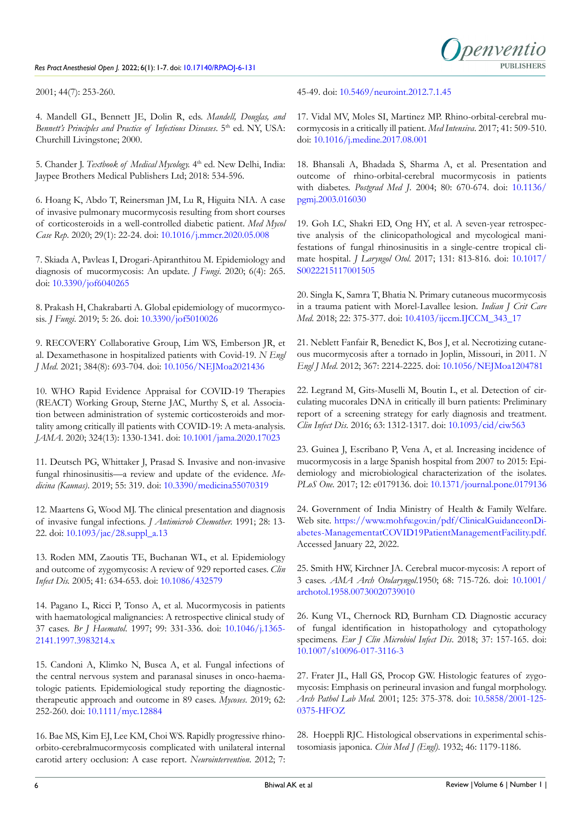

2001; 44(7): 253-260.

<span id="page-5-0"></span>4. Mandell GL, Bennett JE, Dolin R, eds. *Mandell, Douglas, and Bennett's Principles and Practice of Infectious Diseases*. 5<sup>th</sup> ed. NY, USA: Churchill Livingstone; 2000.

<span id="page-5-1"></span>5. Chander J. *Textbook of Medical Mycology.* 4th ed. New Delhi, India: Jaypee Brothers Medical Publishers Ltd; 2018: 534-596.

<span id="page-5-2"></span>6. Hoang K, Abdo T, Reinersman JM, Lu R, Higuita NIA. A case of invasive pulmonary mucormycosis resulting from short courses of corticosteroids in a well-controlled diabetic patient. *Med Mycol Case Rep*. 2020; 29(1): 22-24. doi: [10.1016/j.mmcr.2020.05.008](http://doi.org/10.1016/j.mmcr.2020.05.008)

<span id="page-5-3"></span>7. Skiada A, Pavleas I, Drogari-Apiranthitou M. Epidemiology and diagnosis of mucormycosis: An update. *J Fungi*. 2020; 6(4): 265. doi: [10.3390/jof6040265](http://doi.org/10.3390/jof6040265)

<span id="page-5-4"></span>8. Prakash H, Chakrabarti A. Global epidemiology of mucormycosis. *J Fungi*. 2019; 5: 26. doi: [10.3390/jof5010026](http://doi.org/10.3390/jof5010026)

9. RECOVERY Collaborative Group, Lim WS, Emberson JR, et al. Dexamethasone in hospitalized patients with Covid-19. *N Engl J Med*. 2021; 384(8): 693-704. doi: [10.1056/NEJMoa2021436](http://doi.org/10.1056/NEJMoa2021436)

10. WHO Rapid Evidence Appraisal for COVID-19 Therapies (REACT) Working Group, Sterne JAC, Murthy S, et al. Association between administration of systemic corticosteroids and mortality among critically ill patients with COVID-19: A meta-analysis. *JAMA*. 2020; 324(13): 1330-1341. doi: [10.1001/jama.2020.17023](http://doi.org/10.1001/jama.2020.17023)

<span id="page-5-5"></span>11. Deutsch PG, Whittaker J, Prasad S. Invasive and non-invasive fungal rhinosinusitis—a review and update of the evidence. *Medicina (Kaunas)*. 2019; 55: 319. doi: [10.3390/medicina55070319](http://doi.org/10.3390/medicina55070319)

<span id="page-5-6"></span>12. Maartens G, Wood MJ. The clinical presentation and diagnosis of invasive fungal infections. *J Antimicrob Chemother.* 1991; 28: 13- 22. doi: [10.1093/jac/28.suppl\\_a.13](http://doi.org/10.1093/jac/28.suppl_a.13)

<span id="page-5-7"></span>13. Roden MM, Zaoutis TE, Buchanan WL, et al. Epidemiology and outcome of zygomycosis: A review of 929 reported cases. *Clin Infect Dis.* 2005; 41: 634-653. doi: [10.1086/432579](http://doi.org/10.1086/432579)

<span id="page-5-8"></span>14. Pagano L, Ricci P, Tonso A, et al. Mucormycosis in patients with haematological malignancies: A retrospective clinical study of 37 cases. *Br J Haematol*. 1997; 99: 331-336. doi: [10.1046/j.1365-](http://doi.org/10.1046/j.1365-2141.1997.3983214.x) [2141.1997.3983214.x](http://doi.org/10.1046/j.1365-2141.1997.3983214.x)

<span id="page-5-9"></span>15. Candoni A, Klimko N, Busca A, et al. Fungal infections of the central nervous system and paranasal sinuses in onco-haematologic patients. Epidemiological study reporting the diagnostictherapeutic approach and outcome in 89 cases. *Mycoses*. 2019; 62: 252-260. doi: [10.1111/myc.12884](http://doi.org/10.1111/myc.12884)

<span id="page-5-10"></span>16. Bae MS, Kim EJ, Lee KM, Choi WS. Rapidly progressive rhinoorbito-cerebralmucormycosis complicated with unilateral internal carotid artery occlusion: A case report. *Neurointervention*. 2012; 7: 45-49. doi: [10.5469/neuroint.2012.7.1.45](http://doi.org/10.5469/neuroint.2012.7.1.45)

17. Vidal MV, Moles SI, Martinez MP. Rhino-orbital-cerebral mucormycosis in a critically ill patient. *Med Intensiva*. 2017; 41: 509-510. doi: [10.1016/j.medine.2017.08.001](http://doi.org/10.1016/j.medine.2017.08.001)

18. Bhansali A, Bhadada S, Sharma A, et al. Presentation and outcome of rhino-orbital-cerebral mucormycosis in patients with diabetes. *Postgrad Med J*. 2004; 80: 670-674. doi: [10.1136/](http://doi.org/10.1136/pgmj.2003.016030) [pgmj.2003.016030](http://doi.org/10.1136/pgmj.2003.016030)

19. Goh LC, Shakri ED, Ong HY, et al. A seven-year retrospective analysis of the clinicopathological and mycological manifestations of fungal rhinosinusitis in a single-centre tropical climate hospital. *J Laryngol Otol*. 2017; 131: 813-816. doi: [10.1017/](http://doi.org/10.1017/S0022215117001505) [S0022215117001505](http://doi.org/10.1017/S0022215117001505)

<span id="page-5-11"></span>20. Singla K, Samra T, Bhatia N. Primary cutaneous mucormycosis in a trauma patient with Morel-Lavallee lesion. *Indian J Crit Care Med*. 2018; 22: 375-377. doi: [10.4103/ijccm.IJCCM\\_343\\_17](http://doi.org/10.4103/ijccm.IJCCM_343_17)

21. Neblett Fanfair R, Benedict K, Bos J, et al. Necrotizing cutaneous mucormycosis after a tornado in Joplin, Missouri, in 2011. *N Engl J Med*. 2012; 367: 2214-2225. doi: [10.1056/NEJMoa1204781](http://doi.org/10.1056/NEJMoa1204781)

<span id="page-5-12"></span>22. Legrand M, Gits-Muselli M, Boutin L, et al. Detection of circulating mucorales DNA in critically ill burn patients: Preliminary report of a screening strategy for early diagnosis and treatment. *Clin Infect Dis*. 2016; 63: 1312-1317. doi: [10.1093/cid/ciw563](http://doi.org/10.1093/cid/ciw563)

<span id="page-5-13"></span>23. Guinea J, Escribano P, Vena A, et al. Increasing incidence of mucormycosis in a large Spanish hospital from 2007 to 2015: Epidemiology and microbiological characterization of the isolates. *PLoS One.* 2017; 12: e0179136. doi: [10.1371/journal.pone.0179136](http://doi.org/10.1371/journal.pone.0179136)

<span id="page-5-14"></span>24. Government of India Ministry of Health & Family Welfare. Web site. [https://www.mohfw.gov.in/pdf/ClinicalGuidanceonDi](https://www.mohfw.gov.in/pdf/ClinicalGuidanceonDiabetes-ManagementatCOVID19PatientManagementFacility)[abetes-ManagementatCOVID19PatientManagementFacility.pdf.](https://www.mohfw.gov.in/pdf/ClinicalGuidanceonDiabetes-ManagementatCOVID19PatientManagementFacility) Accessed January 22, 2022.

<span id="page-5-15"></span>25. Smith HW, Kirchner JA. Cerebral mucor-mycosis: A report of 3 cases. *AMA Arch Otolaryngol*.1950; 68: 715-726. doi: [10.1001/](http://doi.org/10.1001/archotol.1958.00730020739010) [archotol.1958.00730020739010](http://doi.org/10.1001/archotol.1958.00730020739010)

<span id="page-5-16"></span>26. Kung VL, Chernock RD, Burnham CD. Diagnostic accuracy of fungal identification in histopathology and cytopathology specimens. *Eur J Clin Microbiol Infect Dis*. 2018; 37: 157-165. doi: [10.1007/s10096-017-3116-3](http://doi.org/10.1007/s10096-017-3116-3)

<span id="page-5-17"></span>27. Frater JL, Hall GS, Procop GW. Histologic features of zygomycosis: Emphasis on perineural invasion and fungal morphology. *Arch Pathol Lab Med.* 2001; 125: 375-378. doi: [10.5858/2001-125-](http://doi.org/10.5858/2001-125-0375-HFOZ) [0375-HFOZ](http://doi.org/10.5858/2001-125-0375-HFOZ)

<span id="page-5-18"></span>28. Hoeppli RJC. Histological observations in experimental schistosomiasis japonica. *Chin Med J (Engl)*. 1932; 46: 1179-1186.